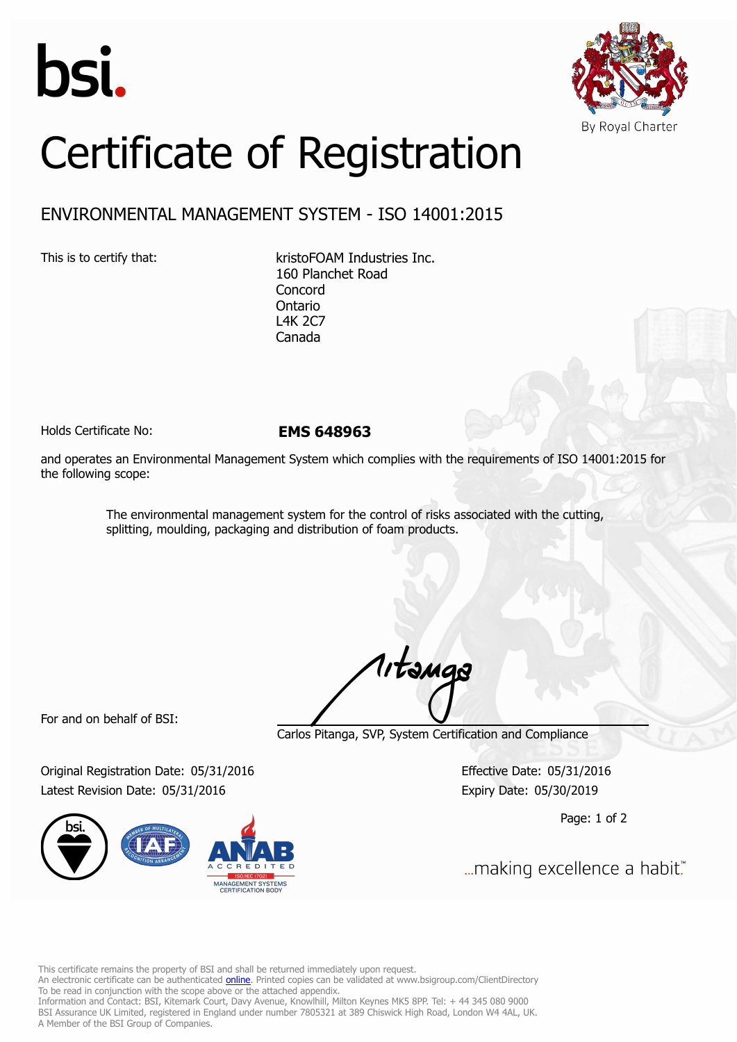



## Certificate of Registration

## ENVIRONMENTAL MANAGEMENT SYSTEM - ISO 14001:2015

This is to certify that: kristoFOAM Industries Inc. 160 Planchet Road Concord Ontario L4K 2C7 Canada

Holds Certificate No: **EMS 648963**

and operates an Environmental Management System which complies with the requirements of ISO 14001:2015 for the following scope:

> The environmental management system for the control of risks associated with the cutting, splitting, moulding, packaging and distribution of foam products.

For and on behalf of BSI:

Carlos Pitanga, SVP, System Certification and Compliance

1, tangs

Original Registration Date: 05/31/2016 Effective Date: 05/31/2016 Latest Revision Date: 05/31/2016 Expiry Date: 05/30/2019



Page: 1 of 2

... making excellence a habit."

This certificate remains the property of BSI and shall be returned immediately upon request.

An electronic certificate can be authenticated *[online](https://pgplus.bsigroup.com/CertificateValidation/CertificateValidator.aspx?CertificateNumber=EMS+648963&ReIssueDate=31%2f05%2f2016&Template=inc)*. Printed copies can be validated at www.bsigroup.com/ClientDirectory To be read in conjunction with the scope above or the attached appendix.

Information and Contact: BSI, Kitemark Court, Davy Avenue, Knowlhill, Milton Keynes MK5 8PP. Tel: + 44 345 080 9000 BSI Assurance UK Limited, registered in England under number 7805321 at 389 Chiswick High Road, London W4 4AL, UK. A Member of the BSI Group of Companies.